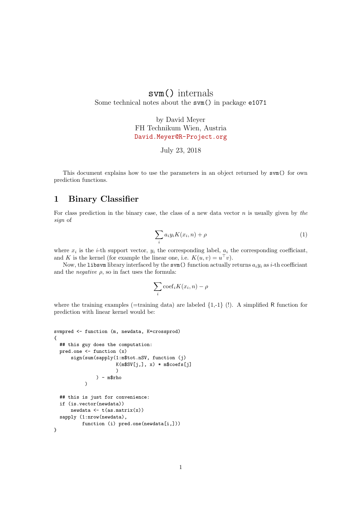## svm() internals Some technical notes about the svm() in package e1071

by David Meyer FH Technikum Wien, Austria <David.Meyer@R-Project.org>

July 23, 2018

This document explains how to use the parameters in an object returned by svm() for own prediction functions.

## 1 Binary Classifier

For class prediction in the binary case, the class of a new data vector  $n$  is usually given by the sign of

$$
\sum_{i} a_i y_i K(x_i, n) + \rho \tag{1}
$$

where  $x_i$  is the *i*-th support vector,  $y_i$  the corresponding label,  $a_i$  the corresponding coefficiant, and K is the kernel (for example the linear one, i.e.  $K(u, v) = u^{\top}v$ ).

Now, the libsvm library interfaced by the svm() function actually returns  $a_i y_i$  as i-th coefficiant and the *negative*  $\rho$ , so in fact uses the formula:

$$
\sum_{i} \mathrm{coeff}_i K(x_i, n) - \rho
$$

where the training examples (=training data) are labeled  $\{1,-1\}$  (!). A simplified R function for prediction with linear kernel would be:

```
svmpred <- function (m, newdata, K=crossprod)
{
  ## this guy does the computation:
  pred.one <- function (x)
      sign(sum(sapply(1:m$tot.nSV, function (j)
                      K(m$SV[j,], x) * m$coefs[j])
               ) - m$rho
           )
  ## this is just for convenience:
  if (is.vector(newdata))
      newdata \leftarrow t(as.matrix(x))
  sapply (1:nv(newdata),
          function (i) pred.one(newdata[i,]))
}
```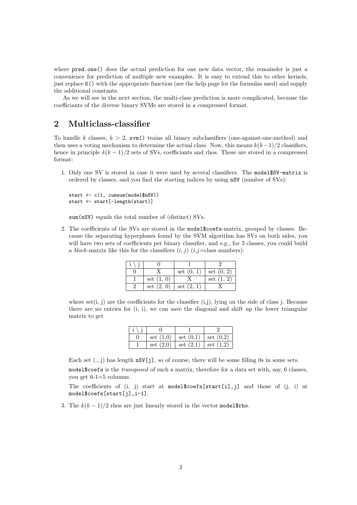where pred.one() does the actual prediction for one new data vector, the remainder is just a convenience for prediction of multiple new examples. It is easy to extend this to other kernels, just replace K() with the appropriate function (see the help page for the formulas used) and supply the additional constants.

As we will see in the next section, the multi-class prediction is more complicated, because the coefficiants of the diverse binary SVMs are stored in a compressed format.

## 2 Multiclass-classifier

To handle k classes,  $k > 2$ , svm() trains all binary subclassifiers (one-against-one-method) and then uses a voting mechanism to determine the actual class. Now, this means  $k(k-1)/2$  classifiers, hence in principle  $k(k-1)/2$  sets of SVs, coefficiants and rhos. These are stored in a compressed format:

1. Only one SV is stored in case it were used by several classifiers. The model\$SV-matrix is ordered by classes, and you find the starting indices by using nSV (number of SVs):

```
start <- c(1, cumsum(model$nSV))
start <- start[-length(start)]
```
sum(nSV) equals the total number of (distinct) SVs.

2. The coefficients of the SVs are stored in the model\$coefs-matrix, grouped by classes. Because the separating hyperplanes found by the SVM algorithm has SVs on both sides, you will have two sets of coefficients per binary classifier, and e.g., for 3 classes, you could build a block-matrix like this for the classifiers  $(i, j)$   $(i, j=$ class numbers):

|              | set $(0, 1)$ | set $(0, 2)$ |
|--------------|--------------|--------------|
| set $(1, 0)$ |              | set $(1, 2)$ |
| set $(2, 0)$ | set $(2, 1)$ |              |

where set(i, j) are the coefficients for the classifier  $(i,j)$ , lying on the side of class j. Because there are no entries for  $(i, i)$ , we can save the diagonal and shift up the lower triangular matrix to get

| set $(1,0)$ | set $(0,1)$   set $(0,2)$               |  |
|-------------|-----------------------------------------|--|
|             | set $(2,0)$   set $(2,1)$   set $(1,2)$ |  |

Each set  $(., j)$  has length  $nSV[j]$ , so of course, there will be some filling 0s in some sets. model\$coefs is the transposed of such a matrix, therefore for a data set with, say, 6 classes, you get 6-1=5 columns.

The coefficients of  $(i, j)$  start at model\$coefs[start[i],j] and those of  $(j, i)$  at model\$coefs[start[j],i-1].

3. The  $k(k-1)/2$  rhos are just linearly stored in the vector model\$rho.